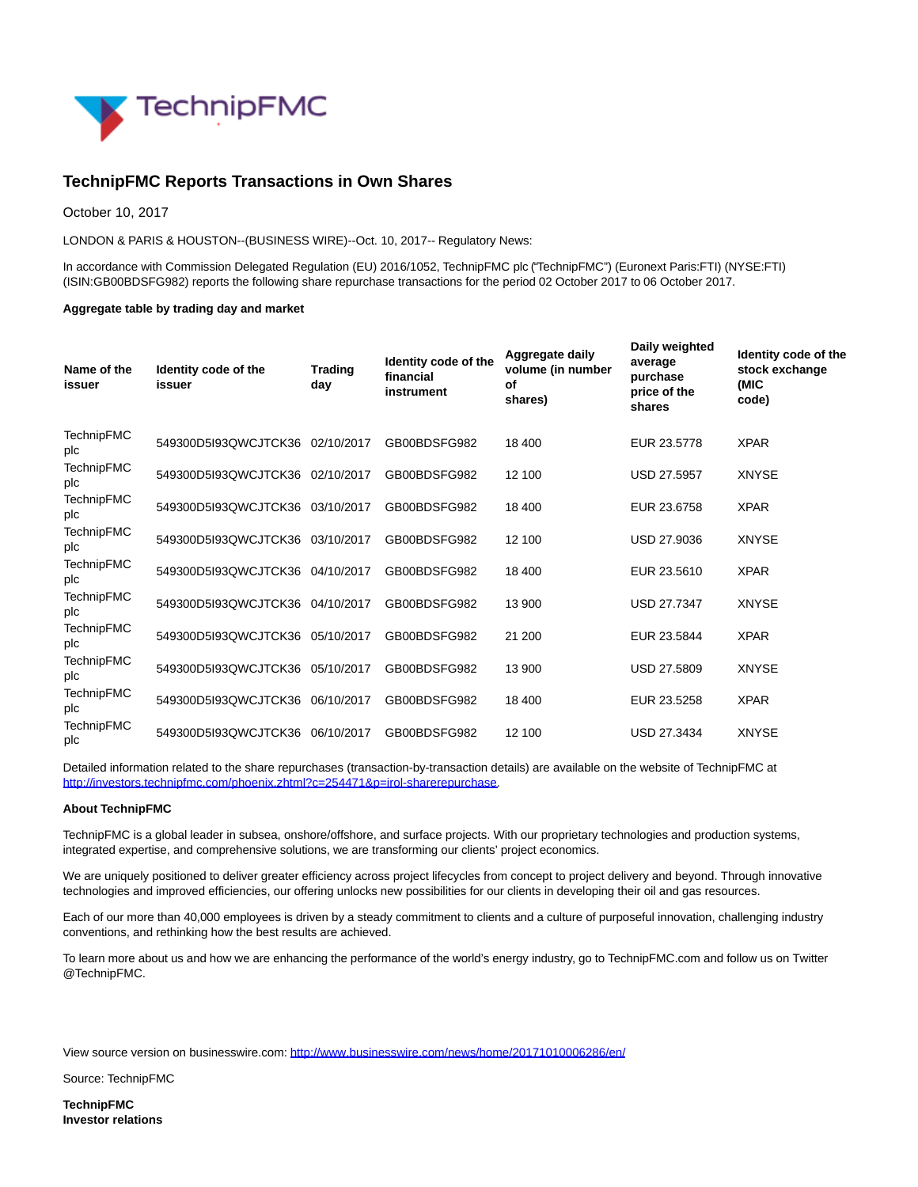

## **TechnipFMC Reports Transactions in Own Shares**

October 10, 2017

LONDON & PARIS & HOUSTON--(BUSINESS WIRE)--Oct. 10, 2017-- Regulatory News:

In accordance with Commission Delegated Regulation (EU) 2016/1052, TechnipFMC plc ("TechnipFMC") (Euronext Paris:FTI) (NYSE:FTI) (ISIN:GB00BDSFG982) reports the following share repurchase transactions for the period 02 October 2017 to 06 October 2017.

## **Aggregate table by trading day and market**

| Name of the<br>issuer    | Identity code of the<br>issuer  | <b>Trading</b><br>day | Identity code of the<br>financial<br>instrument | Aggregate daily<br>volume (in number<br>of<br>shares) | Daily weighted<br>average<br>purchase<br>price of the<br>shares | Identity code of the<br>stock exchange<br>(MIC<br>code) |
|--------------------------|---------------------------------|-----------------------|-------------------------------------------------|-------------------------------------------------------|-----------------------------------------------------------------|---------------------------------------------------------|
| <b>TechnipFMC</b><br>plc | 549300D5I93QWCJTCK36 02/10/2017 |                       | GB00BDSFG982                                    | 18 400                                                | EUR 23.5778                                                     | <b>XPAR</b>                                             |
| <b>TechnipFMC</b><br>plc | 549300D5I93QWCJTCK36 02/10/2017 |                       | GB00BDSFG982                                    | 12 100                                                | <b>USD 27.5957</b>                                              | <b>XNYSE</b>                                            |
| <b>TechnipFMC</b><br>plc | 549300D5I93QWCJTCK36            | 03/10/2017            | GB00BDSFG982                                    | 18 400                                                | EUR 23.6758                                                     | <b>XPAR</b>                                             |
| <b>TechnipFMC</b><br>plc | 549300D5I93QWCJTCK36 03/10/2017 |                       | GB00BDSFG982                                    | 12 100                                                | USD 27.9036                                                     | <b>XNYSE</b>                                            |
| <b>TechnipFMC</b><br>plc | 549300D5I93QWCJTCK36            | 04/10/2017            | GB00BDSFG982                                    | 18 400                                                | EUR 23.5610                                                     | <b>XPAR</b>                                             |
| <b>TechnipFMC</b><br>plc | 549300D5I93QWCJTCK36            | 04/10/2017            | GB00BDSFG982                                    | 13 900                                                | <b>USD 27.7347</b>                                              | <b>XNYSE</b>                                            |
| <b>TechnipFMC</b><br>plc | 549300D5I93QWCJTCK36 05/10/2017 |                       | GB00BDSFG982                                    | 21 200                                                | EUR 23.5844                                                     | <b>XPAR</b>                                             |
| <b>TechnipFMC</b><br>plc | 549300D5I93QWCJTCK36            | 05/10/2017            | GB00BDSFG982                                    | 13 900                                                | <b>USD 27.5809</b>                                              | <b>XNYSE</b>                                            |
| <b>TechnipFMC</b><br>plc | 549300D5I93QWCJTCK36            | 06/10/2017            | GB00BDSFG982                                    | 18 400                                                | EUR 23.5258                                                     | <b>XPAR</b>                                             |
| <b>TechnipFMC</b><br>plc | 549300D5I93QWCJTCK36            | 06/10/2017            | GB00BDSFG982                                    | 12 100                                                | <b>USD 27.3434</b>                                              | <b>XNYSE</b>                                            |

Detailed information related to the share repurchases (transaction-by-transaction details) are available on the website of TechnipFMC at [http://investors.technipfmc.com/phoenix.zhtml?c=254471&p=irol-sharerepurchase.](http://cts.businesswire.com/ct/CT?id=smartlink&url=http%3A%2F%2Finvestors.technipfmc.com%2Fphoenix.zhtml%3Fc%3D254471%26p%3Dirol-sharerepurchase&esheet=51696774&newsitemid=20171010006286&lan=en-US&anchor=http%3A%2F%2Finvestors.technipfmc.com%2Fphoenix.zhtml%3Fc%3D254471%26p%3Dirol-sharerepurchase&index=1&md5=f9671d3d729377bccfada230aeb61adb)

## **About TechnipFMC**

TechnipFMC is a global leader in subsea, onshore/offshore, and surface projects. With our proprietary technologies and production systems, integrated expertise, and comprehensive solutions, we are transforming our clients' project economics.

We are uniquely positioned to deliver greater efficiency across project lifecycles from concept to project delivery and beyond. Through innovative technologies and improved efficiencies, our offering unlocks new possibilities for our clients in developing their oil and gas resources.

Each of our more than 40,000 employees is driven by a steady commitment to clients and a culture of purposeful innovation, challenging industry conventions, and rethinking how the best results are achieved.

To learn more about us and how we are enhancing the performance of the world's energy industry, go to TechnipFMC.com and follow us on Twitter @TechnipFMC.

View source version on businesswire.com:<http://www.businesswire.com/news/home/20171010006286/en/>

Source: TechnipFMC